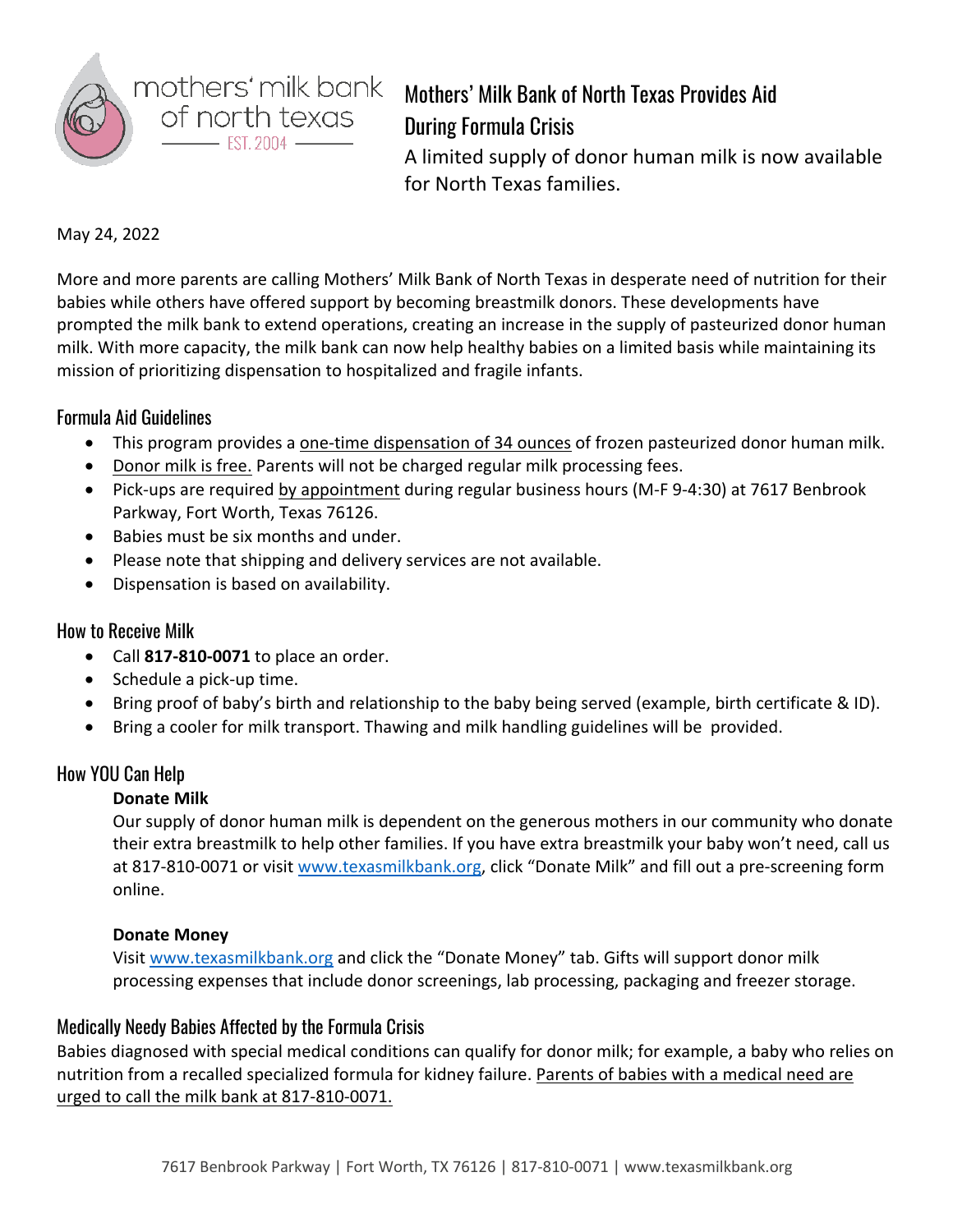

# Mothers' Milk Bank of North Texas Provides Aid During Formula Crisis

A limited supply of donor human milk is now available for North Texas families.

#### May 24, 2022

More and more parents are calling Mothers' Milk Bank of North Texas in desperate need of nutrition for their babies while others have offered support by becoming breastmilk donors. These developments have prompted the milk bank to extend operations, creating an increase in the supply of pasteurized donor human milk. With more capacity, the milk bank can now help healthy babies on a limited basis while maintaining its mission of prioritizing dispensation to hospitalized and fragile infants.

## Formula Aid Guidelines

- This program provides a one-time dispensation of 34 ounces of frozen pasteurized donor human milk.
- Donor milk is free. Parents will not be charged regular milk processing fees.
- Pick-ups are required by appointment during regular business hours (M-F 9-4:30) at 7617 Benbrook Parkway, Fort Worth, Texas 76126.
- Babies must be six months and under.
- Please note that shipping and delivery services are not available.
- Dispensation is based on availability.

## How to Receive Milk

- Call **817-810-0071** to place an order.
- Schedule a pick-up time.
- Bring proof of baby's birth and relationship to the baby being served (example, birth certificate & ID).
- Bring a cooler for milk transport. Thawing and milk handling guidelines will be provided.

## How YOU Can Help

## **Donate Milk**

Our supply of donor human milk is dependent on the generous mothers in our community who donate their extra breastmilk to help other families. If you have extra breastmilk your baby won't need, call us at 817-810-0071 or visit www.texasmilkbank.org, click "Donate Milk" and fill out a pre-screening form online.

#### **Donate Money**

Visit www.texasmilkbank.org and click the "Donate Money" tab. Gifts will support donor milk processing expenses that include donor screenings, lab processing, packaging and freezer storage.

## Medically Needy Babies Affected by the Formula Crisis

Babies diagnosed with special medical conditions can qualify for donor milk; for example, a baby who relies on nutrition from a recalled specialized formula for kidney failure. Parents of babies with a medical need are urged to call the milk bank at 817-810-0071.